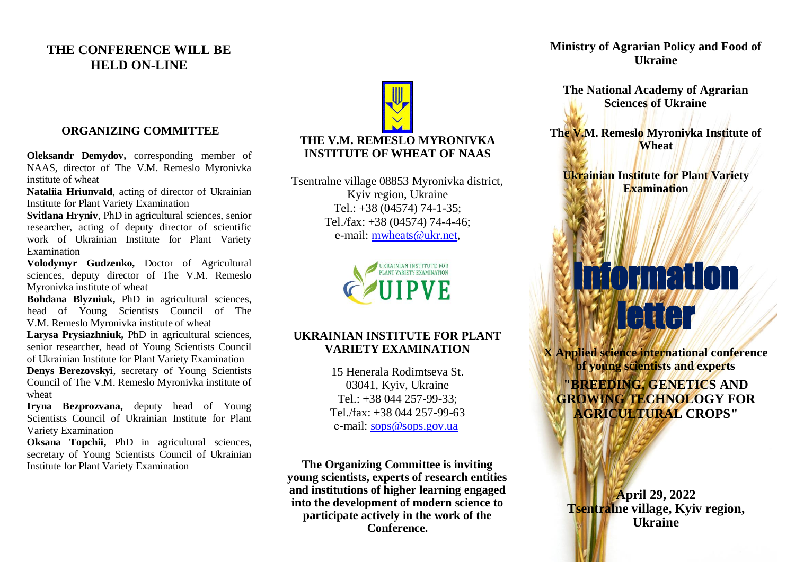### **THE CONFERENCE WILL BE HELD ON-LINE**

#### **ORGANIZING COMMITTEE**

**Oleksandr Demydov,** corresponding member of NAAS, director of The V.M. Remeslo Myronivka institute of wheat

**Nataliia Hriunvald**, acting of director of Ukrainian Institute for Plant Variety Examination

**Svitlana Hryniv**, PhD in agricultural sciences, senior researcher, acting of deputy director of scientific work of Ukrainian Institute for Plant Variety Examination

**Volodymyr Gudzenko,** Doctor of Agricultural sciences, deputy director of The V.M. Remeslo Myronivka institute of wheat

**Bohdana Blyzniuk,** PhD in agricultural sciences, head of Young Scientists Council of The V.M. Remeslo Myronivka institute of wheat

**Larysa Prysiazhniuk,** PhD in agricultural sciences, senior researcher, head of Young Scientists Council of Ukrainian Institute for Plant Variety Examination **Denys Berezovskyi**, secretary of Young Scientists

Council of The V.M. Remeslo Myronivka institute of wheat

**Iryna Bezprozvana,** deputy head of Young Scientists Council of Ukrainian Institute for Plant Variety Examination

**Oksana Topchii,** PhD in agricultural sciences, secretary of Young Scientists Council of Ukrainian Institute for Plant Variety Examination

# **THE V.M. REMESLO MYRONIVKA INSTITUTE OF WHEAT OF NAAS**

Tsentralne village 08853 Myronivka district, Kyiv region, Ukraine Tel.: +38 (04574) 74-1-35; Tel./fax: +38 (04574) 74-4-46; e-mail: [mwheats@ukr.net,](mailto:mwheats@ukr.net)



#### **UKRAINIAN INSTITUTE FOR PLANT VARIETY EXAMINATION**

15 Henerala Rodimtseva St. 03041, Kyiv, Ukraine Tel.: +38 044 257-99-33; Tel./fax:  $+38.044.257-99-63$ e-mail: [sops@sops.gov.ua](mailto:sops@sops.gov.ua)

**The Organizing Committee is inviting young scientists, experts of research entities and institutions of higher learning engaged into the development of modern science to participate actively in the work of the Conference.**

**Ministry of Agrarian Policy and Food of Ukraine**

**The National Academy of Agrarian Sciences of Ukraine**

**The V.M. Remeslo Myronivka Institute of Wheat**

**Ukrainian Institute for Plant Variety Examination**

Information

letter

**X Applied science international conference of young scientists and experts "BREEDING, GENETICS AND GROWING TECHNOLOGY FOR AGRICULTURAL CROPS"**

> **April 29, 2022 Tsentralne village, Kyiv region, Ukraine**